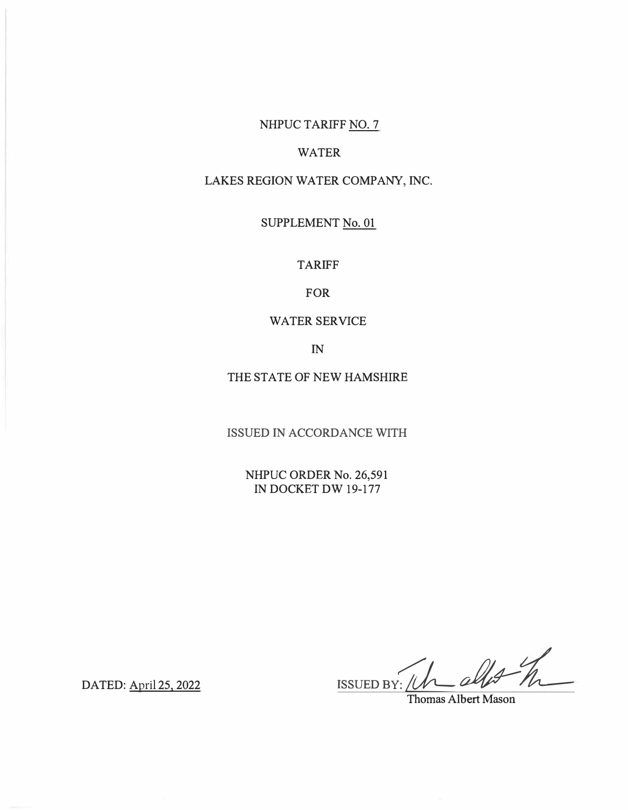# NHPUC TARIFF NO. 7

## WATER

# LAKES REGION WATER COMPANY, INC.

SUPPLEMENT No. 01

TARIFF

FOR

### WATER SERVICE

IN

THE STATE OF NEW HAMSHIRE

ISSUED IN ACCORDANCE WITH

NHPUC ORDER No. 26,591 IN DOCKET DW 19-177

 $\frac{1}{\frac{1}{\frac{1}{\frac{1}{\frac{1}{\frac{1}{\sqrt{1+\frac{1}{\sqrt{1+\frac{1}{\sqrt{1+\frac{1}{\sqrt{1+\frac{1}{\sqrt{1+\frac{1}{\sqrt{1+\frac{1}{\sqrt{1+\frac{1}{\sqrt{1+\frac{1}{\sqrt{1+\frac{1}{\sqrt{1+\frac{1}{\sqrt{1+\frac{1}{\sqrt{1+\frac{1}{\sqrt{1+\frac{1}{\sqrt{1+\frac{1}{\sqrt{1+\frac{1}{\sqrt{1+\frac{1}{\sqrt{1+\frac{1}{\sqrt{1+\frac{1}{\sqrt{1+\frac{1}{\sqrt{1+\frac{1}{\sqrt{1+\frac{1}{\$ 

DATED: April 25, 2022